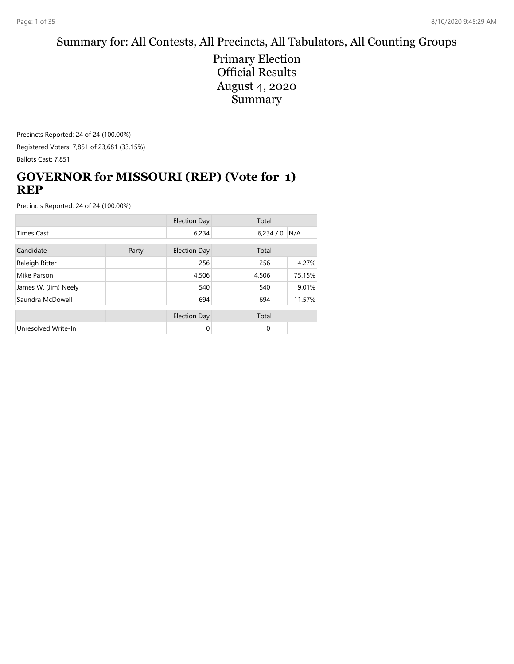# Summary for: All Contests, All Precincts, All Tabulators, All Counting Groups

Primary Election Official Results August 4, 2020 Summary

Precincts Reported: 24 of 24 (100.00%) Registered Voters: 7,851 of 23,681 (33.15%) Ballots Cast: 7,851

## **GOVERNOR for MISSOURI (REP) (Vote for 1) REP**

|                      |  | <b>Election Day</b> | Total       |        |
|----------------------|--|---------------------|-------------|--------|
| <b>Times Cast</b>    |  | 6,234               | 6,234/0     | N/A    |
| Candidate<br>Party   |  | <b>Election Day</b> | Total       |        |
| Raleigh Ritter       |  | 256                 | 256         | 4.27%  |
| Mike Parson          |  | 4,506               | 4,506       | 75.15% |
| James W. (Jim) Neely |  | 540                 | 540         | 9.01%  |
| Saundra McDowell     |  | 694                 | 694         | 11.57% |
|                      |  | <b>Election Day</b> | Total       |        |
| Unresolved Write-In  |  | 0                   | $\mathbf 0$ |        |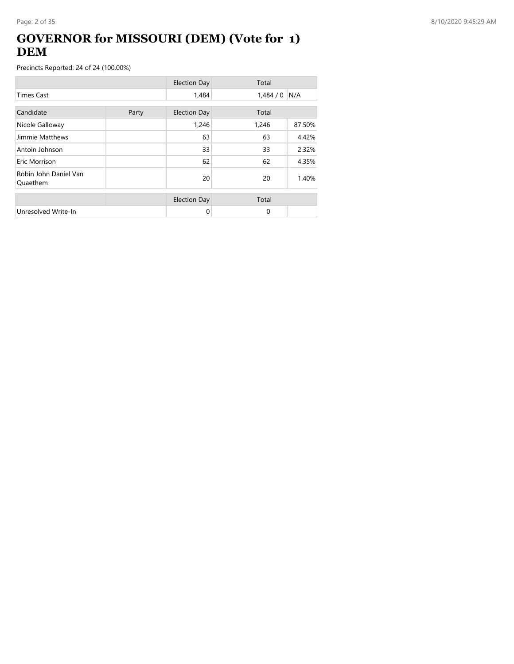## **GOVERNOR for MISSOURI (DEM) (Vote for 1) DEM**

|                                   |       | <b>Election Day</b> | Total    |        |
|-----------------------------------|-------|---------------------|----------|--------|
| <b>Times Cast</b>                 |       | 1,484               | 1,484/0  | N/A    |
| Candidate                         | Party | <b>Election Day</b> | Total    |        |
| Nicole Galloway                   |       | 1,246               | 1,246    | 87.50% |
| Jimmie Matthews                   |       | 63                  | 63       | 4.42%  |
| Antoin Johnson                    |       | 33                  | 33       | 2.32%  |
| Eric Morrison                     |       | 62                  | 62       | 4.35%  |
| Robin John Daniel Van<br>Quaethem |       | 20                  | 20       | 1.40%  |
|                                   |       | <b>Election Day</b> | Total    |        |
| Unresolved Write-In               |       | 0                   | $\Omega$ |        |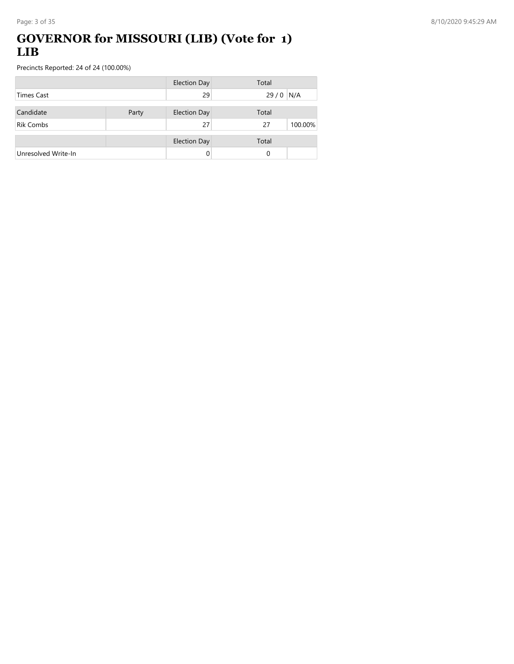## **GOVERNOR for MISSOURI (LIB) (Vote for 1) LIB**

|                     |       | <b>Election Day</b> | Total |         |
|---------------------|-------|---------------------|-------|---------|
| Times Cast          |       | 29                  | 29/0  | N/A     |
| Candidate           | Party | <b>Election Day</b> | Total |         |
| <b>Rik Combs</b>    |       | 27                  | 27    | 100.00% |
|                     |       | <b>Election Day</b> | Total |         |
| Unresolved Write-In |       |                     | 0     |         |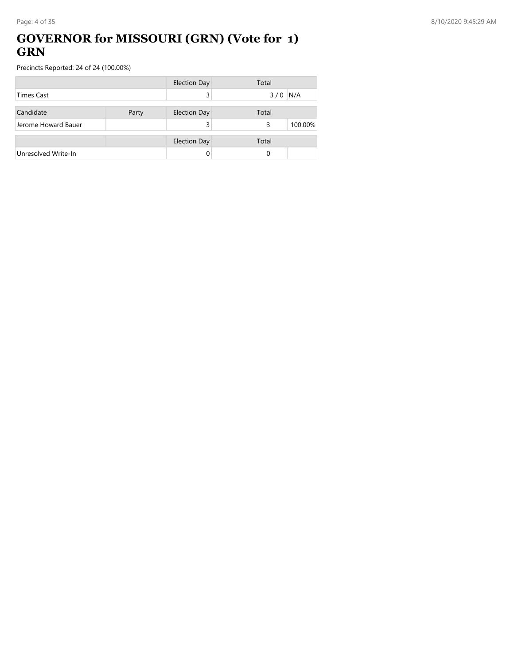## **GOVERNOR for MISSOURI (GRN) (Vote for 1) GRN**

|                     |       | <b>Election Day</b> | Total |         |
|---------------------|-------|---------------------|-------|---------|
| <b>Times Cast</b>   |       |                     | 3/0   | N/A     |
| Candidate           | Party | <b>Election Day</b> | Total |         |
| Jerome Howard Bauer |       |                     | 3     | 100.00% |
|                     |       | <b>Election Day</b> | Total |         |
| Unresolved Write-In |       |                     | 0     |         |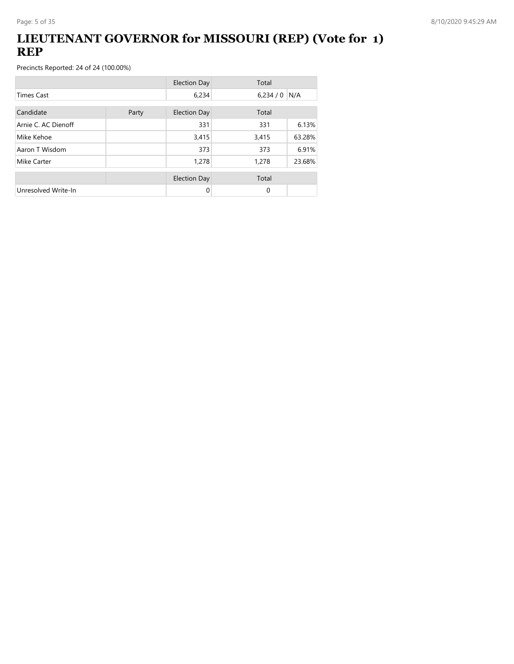## **LIEUTENANT GOVERNOR for MISSOURI (REP) (Vote for 1) REP**

|                     |       | <b>Election Day</b> | Total    |        |
|---------------------|-------|---------------------|----------|--------|
| <b>Times Cast</b>   |       | 6,234               | 6,234/0  | N/A    |
| Candidate           | Party | <b>Election Day</b> | Total    |        |
| Arnie C. AC Dienoff |       | 331                 | 331      | 6.13%  |
| Mike Kehoe          |       | 3,415               | 3,415    | 63.28% |
| Aaron T Wisdom      |       | 373                 | 373      | 6.91%  |
| Mike Carter         |       | 1,278               | 1,278    | 23.68% |
|                     |       | <b>Election Day</b> | Total    |        |
| Unresolved Write-In |       | 0                   | $\Omega$ |        |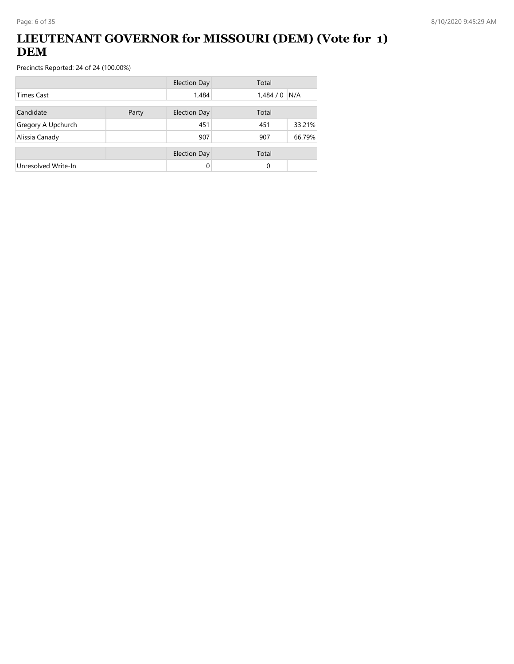## **LIEUTENANT GOVERNOR for MISSOURI (DEM) (Vote for 1) DEM**

|                     |       | <b>Election Day</b> | Total         |        |
|---------------------|-------|---------------------|---------------|--------|
| Times Cast          |       | 1,484               | 1,484/0       | N/A    |
| Candidate           | Party | <b>Election Day</b> | Total         |        |
| Gregory A Upchurch  |       | 451                 | 451           | 33.21% |
| Alissia Canady      |       | 907                 | 66.79%<br>907 |        |
|                     |       | <b>Election Day</b> | Total         |        |
| Unresolved Write-In |       | 0                   | 0             |        |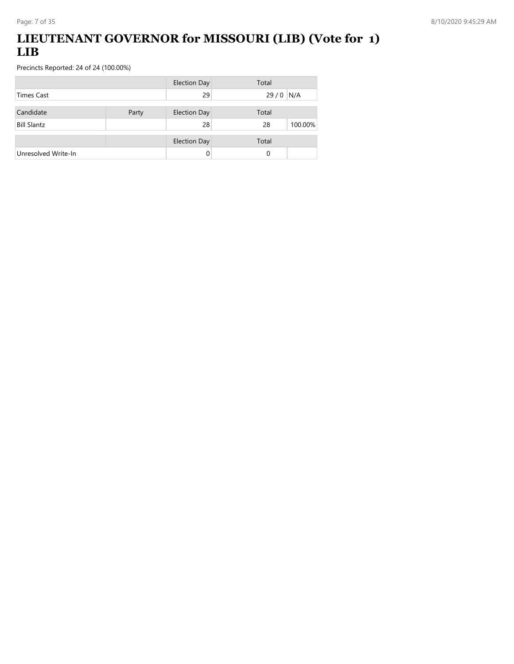## **LIEUTENANT GOVERNOR for MISSOURI (LIB) (Vote for 1) LIB**

|                     |       | <b>Election Day</b> | Total      |         |
|---------------------|-------|---------------------|------------|---------|
| <b>Times Cast</b>   |       | 29                  | $29/0$ N/A |         |
| Candidate           | Party | <b>Election Day</b> | Total      |         |
| <b>Bill Slantz</b>  |       | 28                  | 28         | 100.00% |
|                     |       | <b>Election Day</b> | Total      |         |
| Unresolved Write-In |       | 0                   | 0          |         |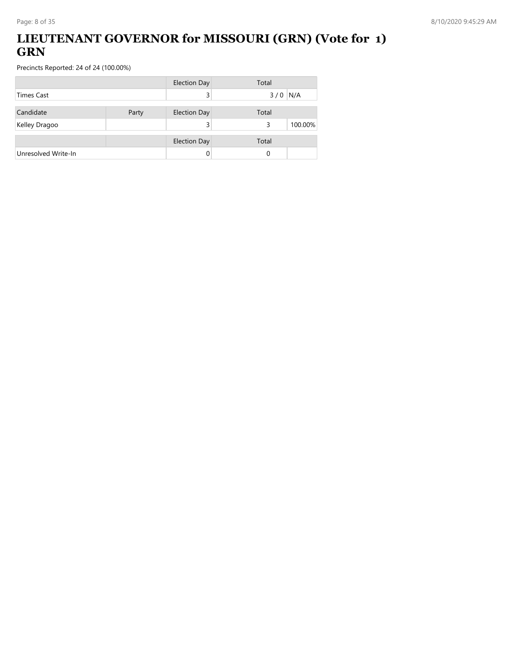## **LIEUTENANT GOVERNOR for MISSOURI (GRN) (Vote for 1) GRN**

|                     |       | <b>Election Day</b> | Total        |
|---------------------|-------|---------------------|--------------|
| Times Cast          |       |                     | $3/0$ N/A    |
| Candidate           | Party | <b>Election Day</b> | Total        |
| Kelley Dragoo       |       |                     | 100.00%<br>3 |
|                     |       | <b>Election Day</b> | Total        |
| Unresolved Write-In |       |                     | 0            |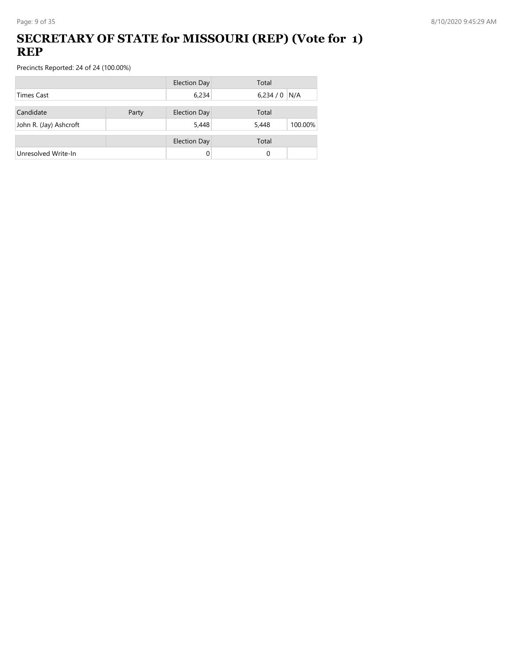## **SECRETARY OF STATE for MISSOURI (REP) (Vote for 1) REP**

|                        |       | <b>Election Day</b> | Total            |
|------------------------|-------|---------------------|------------------|
| <b>Times Cast</b>      |       | 6,234               | 6,234/0<br>N/A   |
| Candidate              | Party | <b>Election Day</b> | Total            |
| John R. (Jay) Ashcroft |       | 5,448               | 100.00%<br>5,448 |
|                        |       | <b>Election Day</b> | Total            |
| Unresolved Write-In    |       | 0                   | 0                |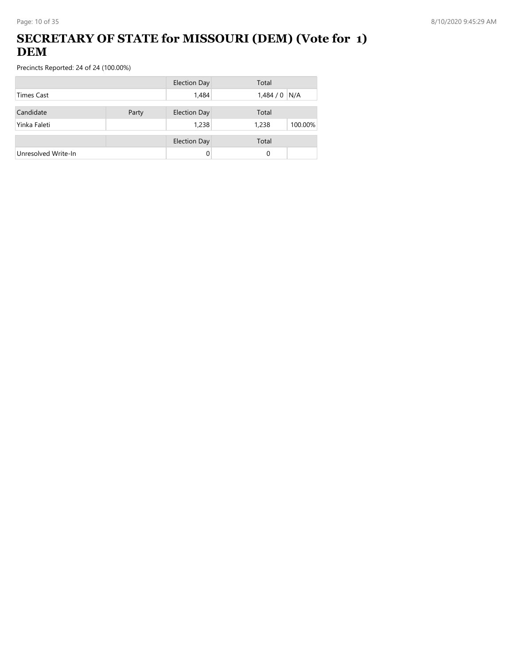## **SECRETARY OF STATE for MISSOURI (DEM) (Vote for 1) DEM**

|                     |       | <b>Election Day</b> | Total            |
|---------------------|-------|---------------------|------------------|
| Times Cast          |       | 1,484               | $1,484/0$ N/A    |
| Candidate           | Party | <b>Election Day</b> | Total            |
| Yinka Faleti        |       | 1,238               | 1,238<br>100.00% |
|                     |       | <b>Election Day</b> | Total            |
| Unresolved Write-In |       | 0                   | 0                |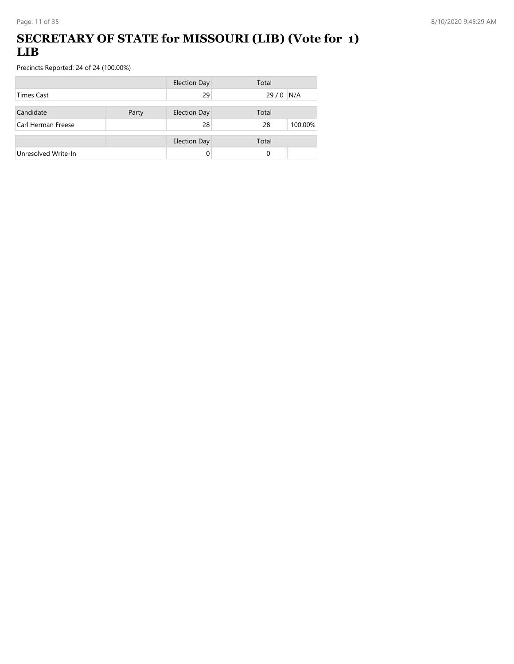## **SECRETARY OF STATE for MISSOURI (LIB) (Vote for 1) LIB**

|                     |       | <b>Election Day</b> | Total         |
|---------------------|-------|---------------------|---------------|
| <b>Times Cast</b>   |       | 29                  | 29/0<br>N/A   |
| Candidate           | Party | <b>Election Day</b> | Total         |
| Carl Herman Freese  |       | 28                  | 100.00%<br>28 |
|                     |       |                     |               |
|                     |       | <b>Election Day</b> | Total         |
| Unresolved Write-In |       | 0                   | 0             |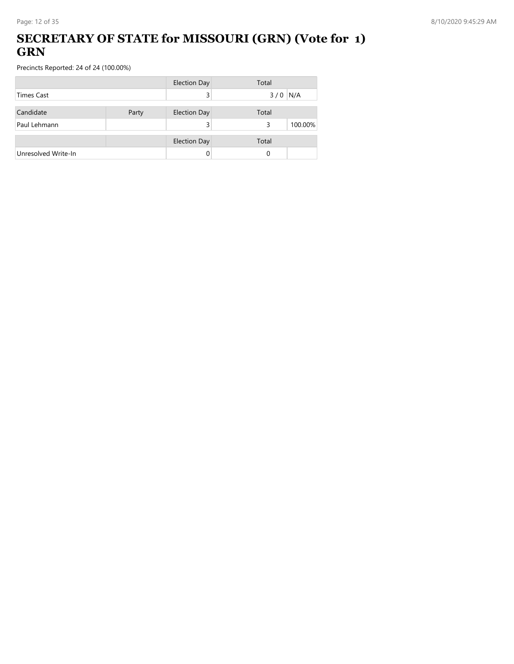### **SECRETARY OF STATE for MISSOURI (GRN) (Vote for 1) GRN**

|                     |       | <b>Election Day</b> | Total        |
|---------------------|-------|---------------------|--------------|
| Times Cast          |       |                     | $3/0$ N/A    |
| Candidate           | Party | <b>Election Day</b> | Total        |
| Paul Lehmann        |       |                     | 100.00%<br>3 |
|                     |       | <b>Election Day</b> | Total        |
| Unresolved Write-In |       |                     | 0            |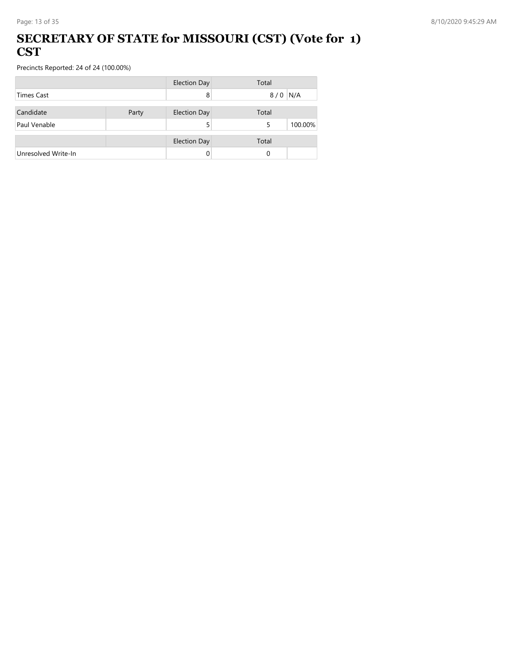#### **SECRETARY OF STATE for MISSOURI (CST) (Vote for 1) CST**

|                     |       | <b>Election Day</b> | Total        |
|---------------------|-------|---------------------|--------------|
| <b>Times Cast</b>   |       | 8                   | N/A<br>8/0   |
| Candidate           | Party | <b>Election Day</b> | Total        |
| Paul Venable        |       |                     | 100.00%<br>5 |
|                     |       | <b>Election Day</b> | Total        |
| Unresolved Write-In |       | 0                   | 0            |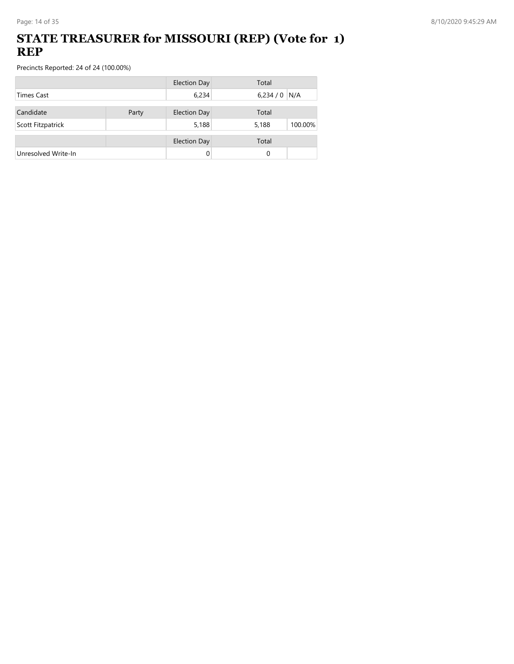### **STATE TREASURER for MISSOURI (REP) (Vote for 1) REP**

|                     |       | <b>Election Day</b> | Total            |
|---------------------|-------|---------------------|------------------|
| Times Cast          |       | 6,234               | $6,234/0$ N/A    |
| Candidate           |       |                     | Total            |
|                     | Party | <b>Election Day</b> |                  |
| Scott Fitzpatrick   |       | 5,188               | 5,188<br>100.00% |
|                     |       | <b>Election Day</b> | Total            |
| Unresolved Write-In |       |                     | 0                |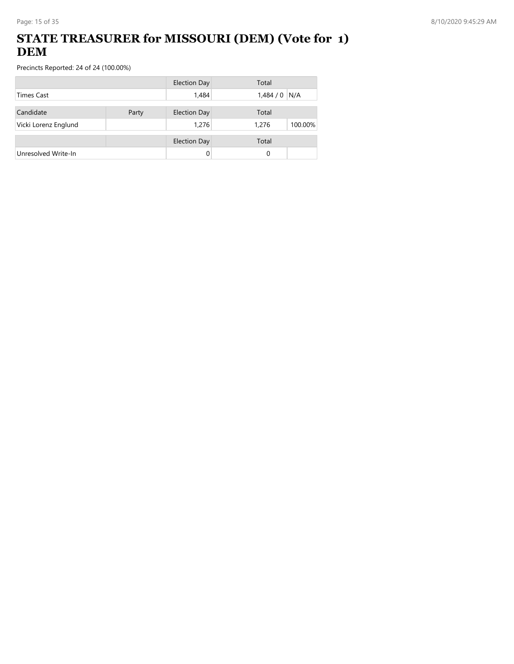## **STATE TREASURER for MISSOURI (DEM) (Vote for 1) DEM**

|                      |       | <b>Election Day</b> | Total            |
|----------------------|-------|---------------------|------------------|
| <b>Times Cast</b>    |       | 1,484               | 1,484/0<br>N/A   |
| Candidate            | Party | <b>Election Day</b> | Total            |
| Vicki Lorenz Englund |       | 1,276               | 100.00%<br>1,276 |
|                      |       | <b>Election Day</b> | Total            |
| Unresolved Write-In  |       | 0                   | 0                |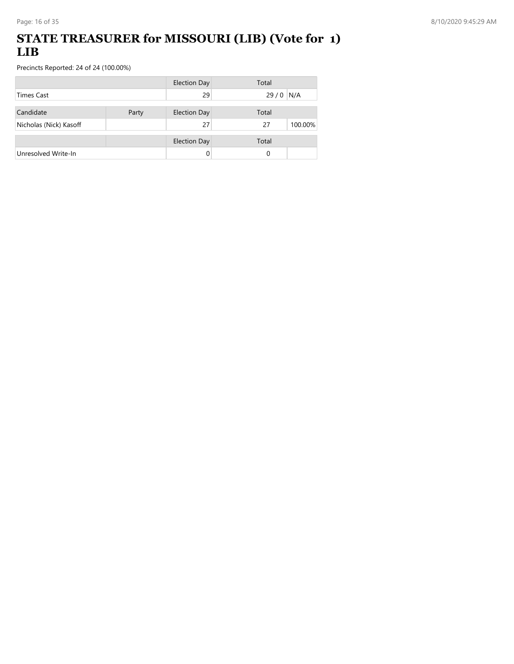## **STATE TREASURER for MISSOURI (LIB) (Vote for 1) LIB**

|                        |       | <b>Election Day</b> | Total         |
|------------------------|-------|---------------------|---------------|
| <b>Times Cast</b>      |       | 29                  | 29/0<br>N/A   |
| Candidate              | Party | <b>Election Day</b> | Total         |
| Nicholas (Nick) Kasoff |       | 27                  | 100.00%<br>27 |
|                        |       | <b>Election Day</b> | Total         |
| Unresolved Write-In    |       | 0                   | 0             |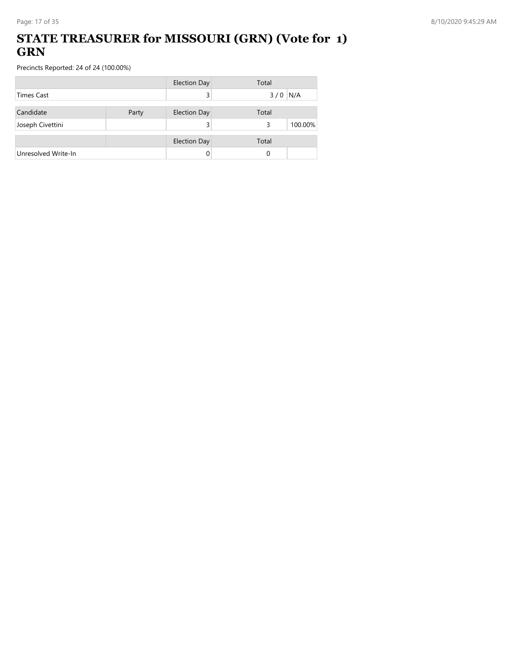### **STATE TREASURER for MISSOURI (GRN) (Vote for 1) GRN**

|                     |       | <b>Election Day</b> | Total        |
|---------------------|-------|---------------------|--------------|
| <b>Times Cast</b>   |       |                     | $3/0$ N/A    |
| Candidate           | Party | <b>Election Day</b> | Total        |
| Joseph Civettini    |       |                     | 100.00%<br>3 |
|                     |       | <b>Election Day</b> | Total        |
| Unresolved Write-In |       | 0                   | 0            |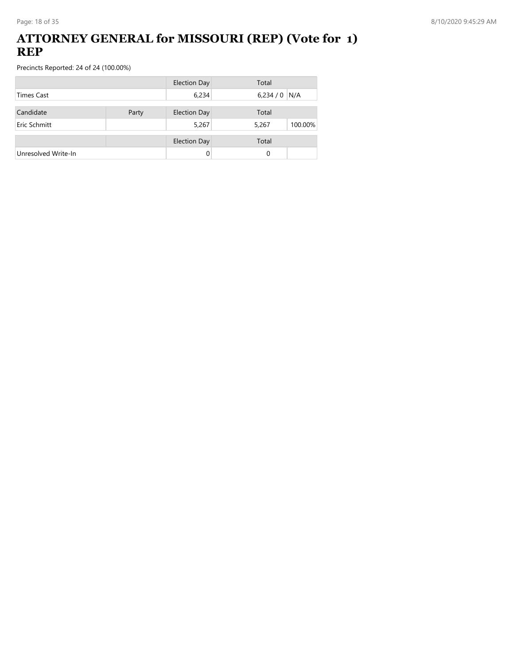### **ATTORNEY GENERAL for MISSOURI (REP) (Vote for 1) REP**

|                     |       | <b>Election Day</b> | Total            |
|---------------------|-------|---------------------|------------------|
| <b>Times Cast</b>   |       | 6,234               | $6,234/0$ N/A    |
| Candidate           | Party | <b>Election Day</b> | Total            |
| Eric Schmitt        |       | 5,267               | 100.00%<br>5,267 |
|                     |       |                     |                  |
|                     |       | <b>Election Day</b> | Total            |
| Unresolved Write-In |       | 0                   | 0                |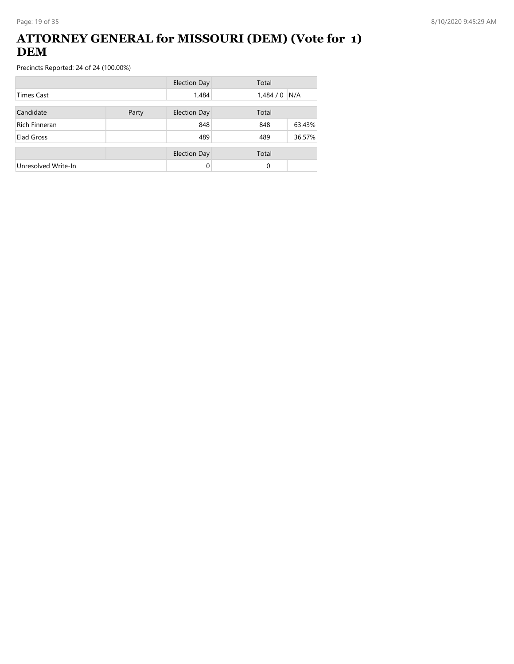### **ATTORNEY GENERAL for MISSOURI (DEM) (Vote for 1) DEM**

|                     |  | <b>Election Day</b> | Total   |        |
|---------------------|--|---------------------|---------|--------|
| <b>Times Cast</b>   |  | 1,484               | 1,484/0 | N/A    |
| Candidate<br>Party  |  | <b>Election Day</b> | Total   |        |
| Rich Finneran       |  | 848                 | 848     | 63.43% |
| Elad Gross          |  | 489                 | 489     | 36.57% |
|                     |  | <b>Election Day</b> | Total   |        |
| Unresolved Write-In |  | $\Omega$            | 0       |        |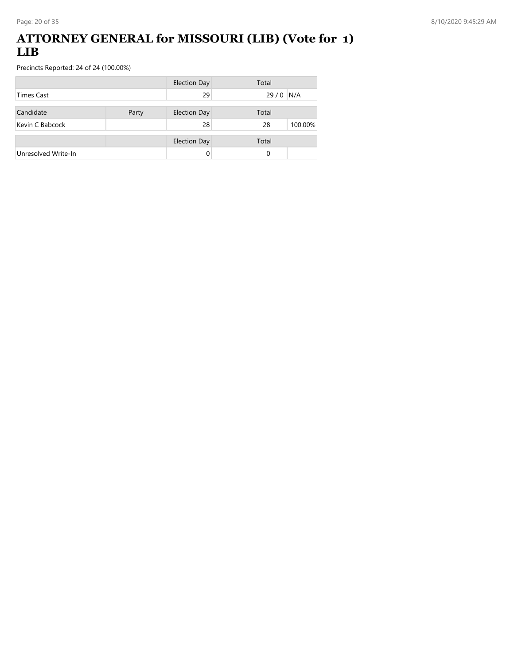### **ATTORNEY GENERAL for MISSOURI (LIB) (Vote for 1) LIB**

|                     |  | <b>Election Day</b> | Total         |
|---------------------|--|---------------------|---------------|
| <b>Times Cast</b>   |  | 29                  | 29/0<br>N/A   |
| Candidate<br>Party  |  | <b>Election Day</b> | Total         |
| Kevin C Babcock     |  | 28                  | 28<br>100.00% |
|                     |  | <b>Election Day</b> | Total         |
| Unresolved Write-In |  |                     | 0             |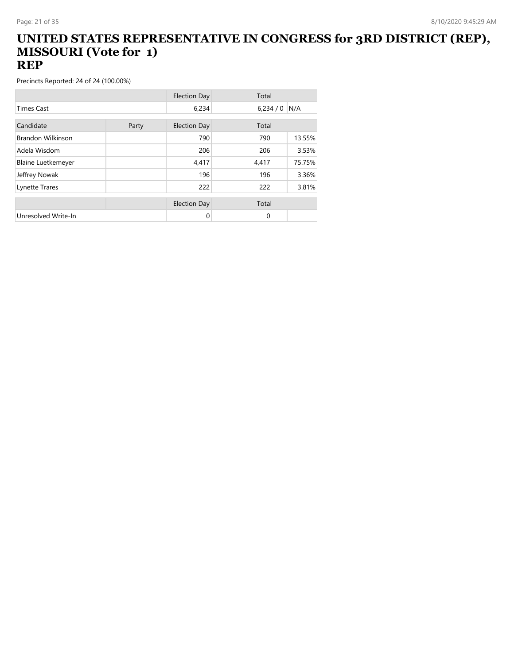#### **UNITED STATES REPRESENTATIVE IN CONGRESS for 3RD DISTRICT (REP), MISSOURI (Vote for 1) REP**

|                           |       | <b>Election Day</b> | Total   |        |
|---------------------------|-------|---------------------|---------|--------|
| <b>Times Cast</b>         |       | 6,234               | 6,234/0 | N/A    |
| Candidate                 |       |                     | Total   |        |
|                           | Party | <b>Election Day</b> |         |        |
| <b>Brandon Wilkinson</b>  |       | 790                 | 790     | 13.55% |
| Adela Wisdom              |       | 206                 | 206     | 3.53%  |
| <b>Blaine Luetkemeyer</b> |       | 4,417               | 4,417   | 75.75% |
| Jeffrey Nowak             |       | 196                 | 196     | 3.36%  |
| Lynette Trares            |       | 222                 | 222     | 3.81%  |
|                           |       |                     |         |        |
|                           |       | <b>Election Day</b> | Total   |        |
| Unresolved Write-In       |       | 0                   | 0       |        |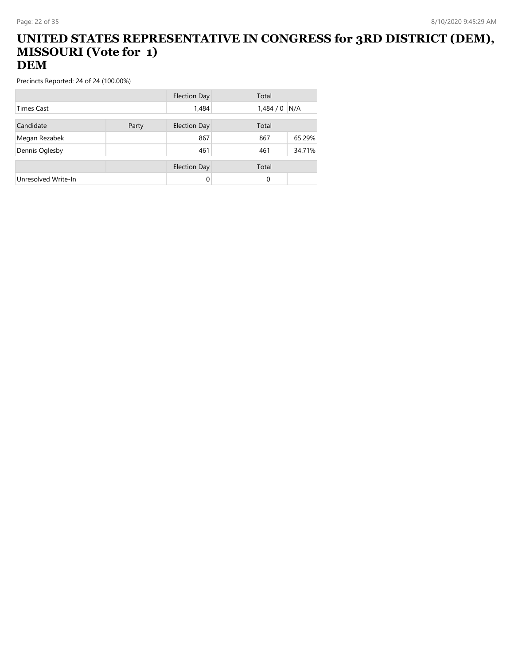#### **UNITED STATES REPRESENTATIVE IN CONGRESS for 3RD DISTRICT (DEM), MISSOURI (Vote for 1) DEM**

|                     |       | <b>Election Day</b> | Total    |        |
|---------------------|-------|---------------------|----------|--------|
| Times Cast          |       | 1,484               | 1,484/0  | N/A    |
| Candidate           | Party | <b>Election Day</b> | Total    |        |
| Megan Rezabek       |       | 867                 | 867      | 65.29% |
| Dennis Oglesby      |       | 461                 | 461      | 34.71% |
|                     |       | <b>Election Day</b> | Total    |        |
| Unresolved Write-In |       | 0                   | $\Omega$ |        |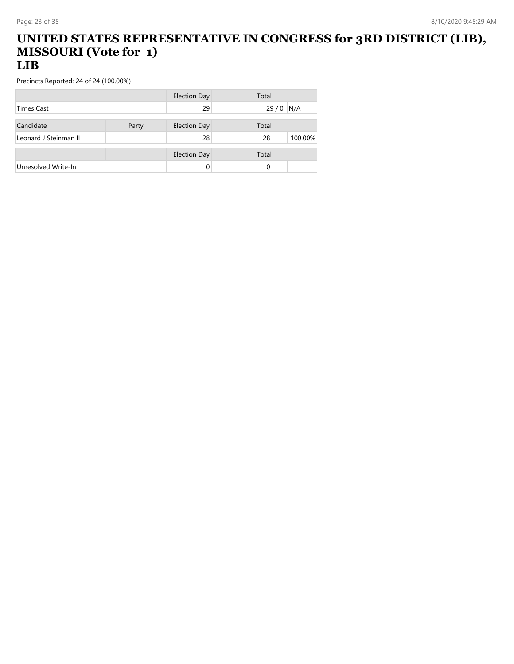#### **UNITED STATES REPRESENTATIVE IN CONGRESS for 3RD DISTRICT (LIB), MISSOURI (Vote for 1) LIB**

|                       |       | <b>Election Day</b> | Total      |         |
|-----------------------|-------|---------------------|------------|---------|
| Times Cast            |       | 29                  | $29/0$ N/A |         |
|                       |       |                     |            |         |
| Candidate             | Party | <b>Election Day</b> | Total      |         |
| Leonard J Steinman II |       | 28                  | 28         | 100.00% |
|                       |       |                     |            |         |
|                       |       | <b>Election Day</b> | Total      |         |
| Unresolved Write-In   |       |                     | 0          |         |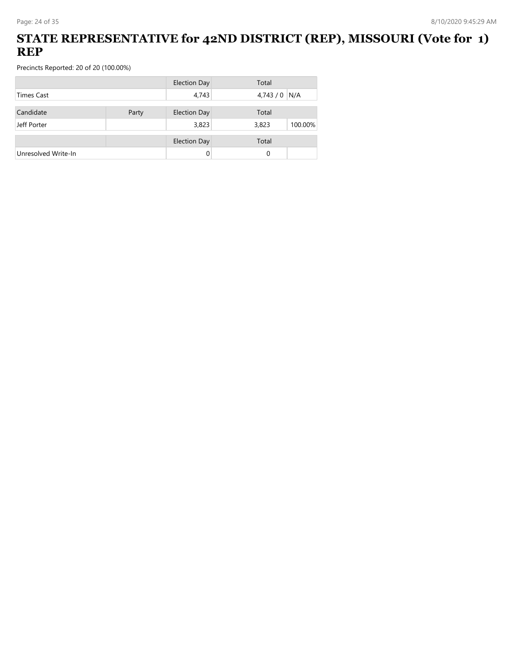### **STATE REPRESENTATIVE for 42ND DISTRICT (REP), MISSOURI (Vote for 1) REP**

|                     |       | <b>Election Day</b> | Total   |         |
|---------------------|-------|---------------------|---------|---------|
| Times Cast          |       | 4,743               | 4,743/0 | N/A     |
| Candidate           | Party | <b>Election Day</b> | Total   |         |
| Jeff Porter         |       | 3,823               | 3,823   | 100.00% |
|                     |       |                     |         |         |
|                     |       | <b>Election Day</b> | Total   |         |
| Unresolved Write-In |       | $\Omega$            | 0       |         |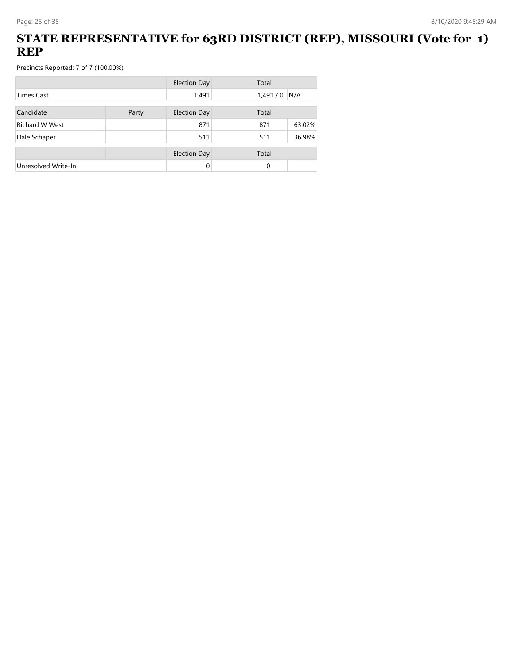### **STATE REPRESENTATIVE for 63RD DISTRICT (REP), MISSOURI (Vote for 1) REP**

|                       |       | <b>Election Day</b> | Total    |        |
|-----------------------|-------|---------------------|----------|--------|
| Times Cast            |       | 1,491               | 1,491/0  | N/A    |
| Candidate             | Party | <b>Election Day</b> | Total    |        |
| <b>Richard W West</b> |       | 871                 | 871      | 63.02% |
| Dale Schaper          |       | 511                 | 511      | 36.98% |
|                       |       | <b>Election Day</b> | Total    |        |
| Unresolved Write-In   |       | 0                   | $\Omega$ |        |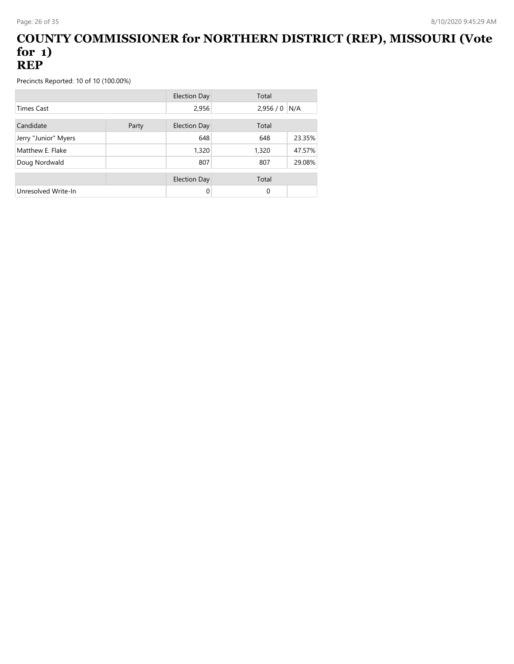#### **COUNTY COMMISSIONER for NORTHERN DISTRICT (REP), MISSOURI (Vote for 1) REP**

Precincts Reported: 10 of 10 (100.00%)

|                      |       | Election Day        | Total           |
|----------------------|-------|---------------------|-----------------|
| <b>Times Cast</b>    |       | 2,956               | N/A<br>2,956/0  |
| Candidate            | Party | <b>Election Day</b> | Total           |
| Jerry "Junior" Myers |       | 648                 | 23.35%<br>648   |
| Matthew E. Flake     |       | 1,320               | 47.57%<br>1,320 |
| Doug Nordwald        |       | 807                 | 29.08%<br>807   |
|                      |       | Election Day        | Total           |
| Unresolved Write-In  |       | 0                   | 0               |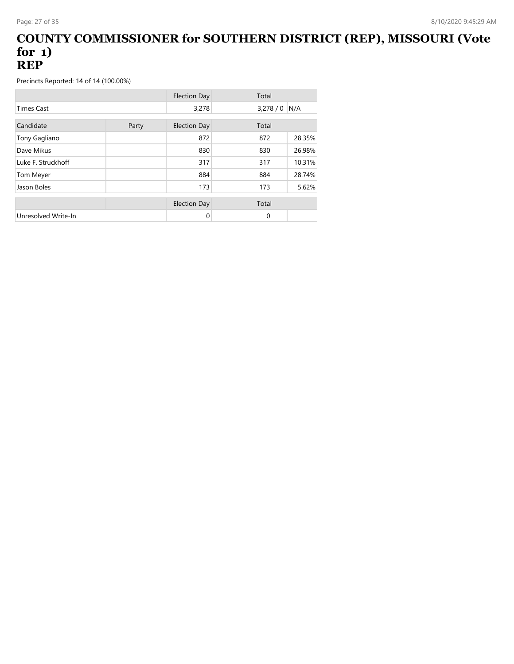#### **COUNTY COMMISSIONER for SOUTHERN DISTRICT (REP), MISSOURI (Vote for 1) REP**

|                     |       | <b>Election Day</b> | Total    |        |
|---------------------|-------|---------------------|----------|--------|
| <b>Times Cast</b>   |       | 3,278               | 3,278/0  | N/A    |
| Candidate           | Party | <b>Election Day</b> | Total    |        |
| Tony Gagliano       |       | 872                 | 872      | 28.35% |
| Dave Mikus          |       | 830                 | 830      | 26.98% |
| Luke F. Struckhoff  |       | 317                 | 317      | 10.31% |
| Tom Meyer           |       | 884                 | 884      | 28.74% |
| Jason Boles         |       | 173                 | 173      | 5.62%  |
|                     |       | <b>Election Day</b> | Total    |        |
| Unresolved Write-In |       | 0                   | $\Omega$ |        |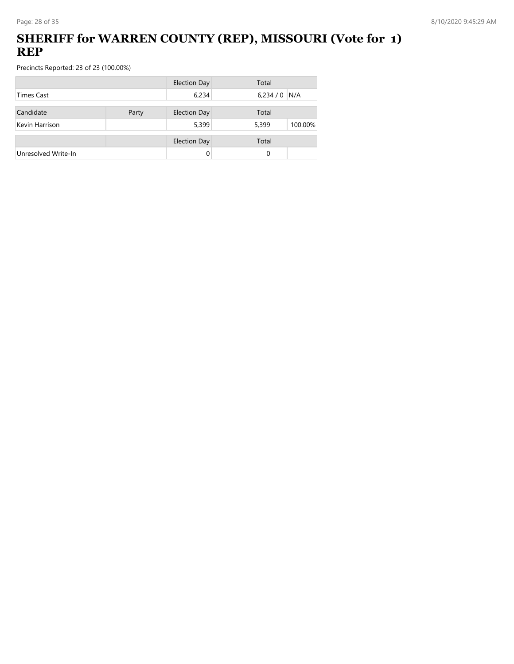## **SHERIFF for WARREN COUNTY (REP), MISSOURI (Vote for 1) REP**

|                     |       | <b>Election Day</b> | Total            |
|---------------------|-------|---------------------|------------------|
| <b>Times Cast</b>   |       | 6,234               | 6,234/0<br>N/A   |
| Candidate           | Party | <b>Election Day</b> | Total            |
| Kevin Harrison      |       | 5,399               | 5,399<br>100.00% |
|                     |       | <b>Election Day</b> | Total            |
| Unresolved Write-In |       | 0                   | 0                |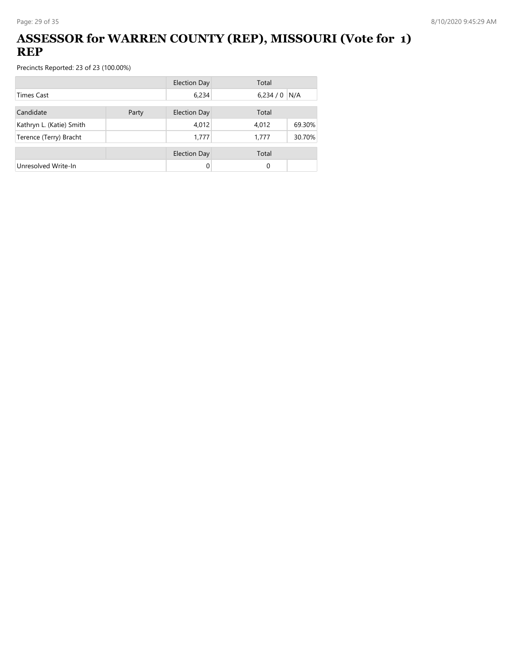## **ASSESSOR for WARREN COUNTY (REP), MISSOURI (Vote for 1) REP**

|                          |       | <b>Election Day</b> | Total   |        |
|--------------------------|-------|---------------------|---------|--------|
| Times Cast               |       | 6,234               | 6,234/0 | N/A    |
| Candidate                | Party | <b>Election Day</b> | Total   |        |
| Kathryn L. (Katie) Smith |       | 4,012               | 4,012   | 69.30% |
| Terence (Terry) Bracht   |       | 1,777               | 1,777   | 30.70% |
|                          |       | <b>Election Day</b> | Total   |        |
| Unresolved Write-In      |       | 0                   | 0       |        |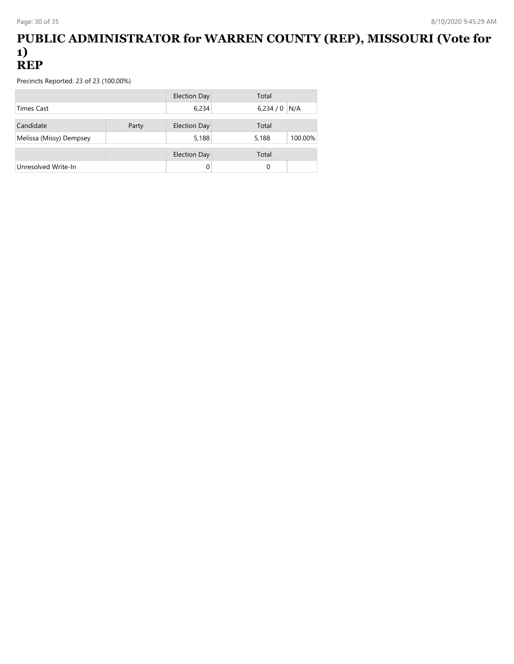#### **PUBLIC ADMINISTRATOR for WARREN COUNTY (REP), MISSOURI (Vote for 1) REP**

|                         |       | <b>Election Day</b> | Total            |  |
|-------------------------|-------|---------------------|------------------|--|
| <b>Times Cast</b>       |       | 6,234               | $6,234/0$ N/A    |  |
| Candidate               | Party | <b>Election Day</b> | Total            |  |
| Melissa (Missy) Dempsey |       | 5,188               | 100.00%<br>5,188 |  |
|                         |       | <b>Election Day</b> | Total            |  |
| Unresolved Write-In     |       |                     | 0                |  |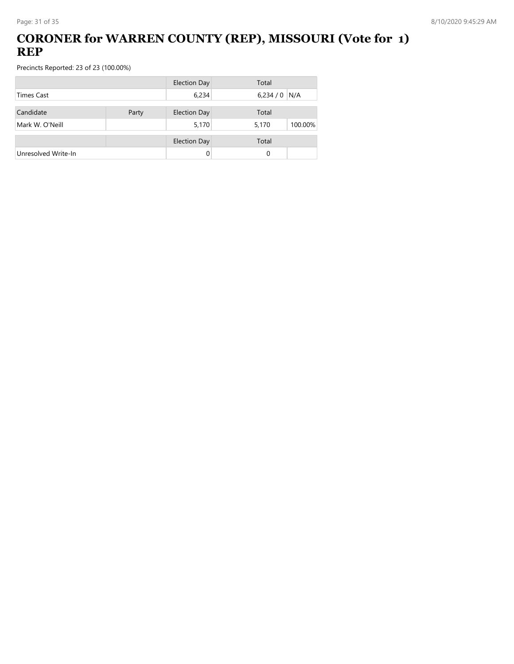## **CORONER for WARREN COUNTY (REP), MISSOURI (Vote for 1) REP**

|                     |       | <b>Election Day</b> | Total            |
|---------------------|-------|---------------------|------------------|
| <b>Times Cast</b>   |       | 6,234               | 6,234/0<br>N/A   |
| Candidate           | Party | <b>Election Day</b> | Total            |
| Mark W. O'Neill     |       | 5,170               | 100.00%<br>5,170 |
|                     |       | <b>Election Day</b> | Total            |
| Unresolved Write-In |       | 0                   | 0                |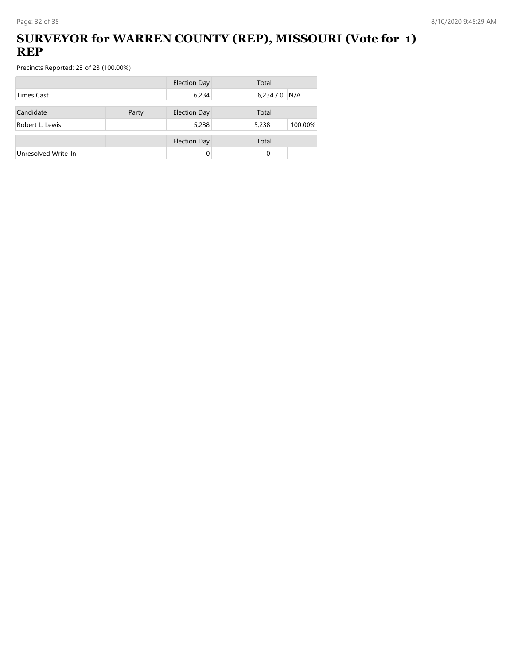### **SURVEYOR for WARREN COUNTY (REP), MISSOURI (Vote for 1) REP**

|                     |       | <b>Election Day</b> | Total            |
|---------------------|-------|---------------------|------------------|
| <b>Times Cast</b>   |       | 6,234               | 6,234/0<br>N/A   |
| Candidate           | Party | <b>Election Day</b> | Total            |
| Robert L. Lewis     |       | 5,238               | 5,238<br>100.00% |
|                     |       | <b>Election Day</b> | Total            |
| Unresolved Write-In |       |                     | 0                |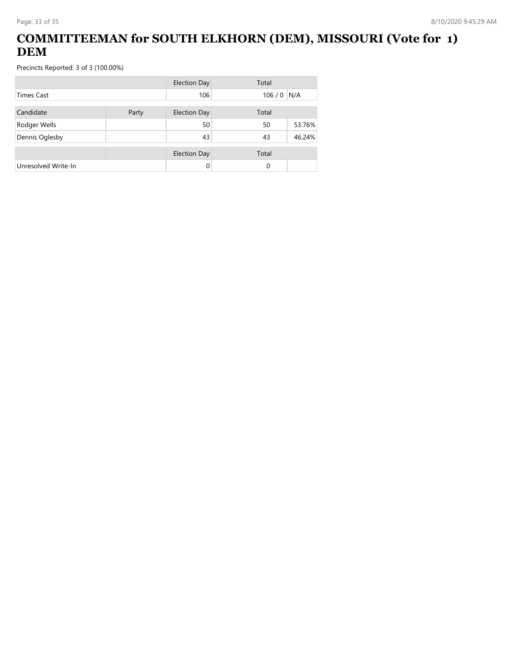## **COMMITTEEMAN for SOUTH ELKHORN (DEM), MISSOURI (Vote for 1) DEM**

|                     |       | <b>Election Day</b> | Total       |        |
|---------------------|-------|---------------------|-------------|--------|
| <b>Times Cast</b>   |       | 106                 | $106/0$ N/A |        |
| Candidate           | Party | <b>Election Day</b> | Total       |        |
| Rodger Wells        |       | 50                  | 50          | 53.76% |
| Dennis Oglesby      |       | 43                  | 43          | 46.24% |
|                     |       | <b>Election Day</b> | Total       |        |
| Unresolved Write-In |       | 0                   | 0           |        |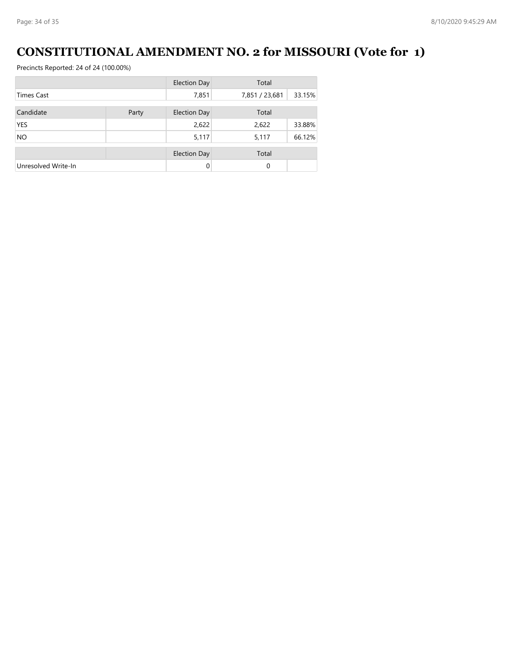# **CONSTITUTIONAL AMENDMENT NO. 2 for MISSOURI (Vote for 1)**

|                     |       | <b>Election Day</b> | Total          |        |
|---------------------|-------|---------------------|----------------|--------|
| <b>Times Cast</b>   |       | 7,851               | 7,851 / 23,681 | 33.15% |
| Candidate           | Party | <b>Election Day</b> | Total          |        |
| <b>YES</b>          |       | 2,622               | 2,622          | 33.88% |
| <b>NO</b>           |       | 5,117               | 5,117          | 66.12% |
|                     |       | <b>Election Day</b> | Total          |        |
| Unresolved Write-In |       | $\Omega$            | $\Omega$       |        |